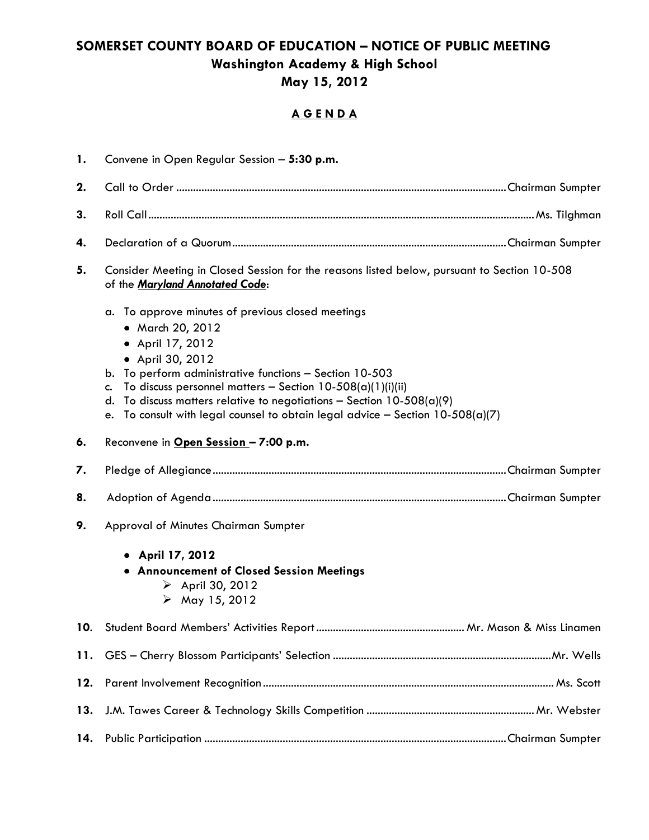## **SOMERSET COUNTY BOARD OF EDUCATION – NOTICE OF PUBLIC MEETING Washington Academy & High School May 15, 2012**

## **A G E N D A**

| 1.  | Convene in Open Regular Session - 5:30 p.m.                                                                                                                                                                                                                                                                                                                                                                            |  |  |  |
|-----|------------------------------------------------------------------------------------------------------------------------------------------------------------------------------------------------------------------------------------------------------------------------------------------------------------------------------------------------------------------------------------------------------------------------|--|--|--|
| 2.  |                                                                                                                                                                                                                                                                                                                                                                                                                        |  |  |  |
| 3.  |                                                                                                                                                                                                                                                                                                                                                                                                                        |  |  |  |
| 4.  |                                                                                                                                                                                                                                                                                                                                                                                                                        |  |  |  |
| 5.  | Consider Meeting in Closed Session for the reasons listed below, pursuant to Section 10-508<br>of the Maryland Annotated Code:                                                                                                                                                                                                                                                                                         |  |  |  |
|     | To approve minutes of previous closed meetings<br>a.<br>• March 20, 2012<br>• April 17, 2012<br>• April 30, 2012<br>b. To perform administrative functions - Section 10-503<br>To discuss personnel matters - Section $10-508(a)(1)(i)(ii)$<br>c.<br>To discuss matters relative to negotiations - Section $10-508(a)(9)$<br>d.<br>To consult with legal counsel to obtain legal advice - Section $10-508(a)(7)$<br>e. |  |  |  |
| 6.  | Reconvene in Open Session - 7:00 p.m.                                                                                                                                                                                                                                                                                                                                                                                  |  |  |  |
| 7.  |                                                                                                                                                                                                                                                                                                                                                                                                                        |  |  |  |
| 8.  |                                                                                                                                                                                                                                                                                                                                                                                                                        |  |  |  |
| 9.  | Approval of Minutes Chairman Sumpter<br>• April 17, 2012<br>• Announcement of Closed Session Meetings<br>$\triangleright$ April 30, 2012<br>$\triangleright$ May 15, 2012                                                                                                                                                                                                                                              |  |  |  |
|     |                                                                                                                                                                                                                                                                                                                                                                                                                        |  |  |  |
| 11. |                                                                                                                                                                                                                                                                                                                                                                                                                        |  |  |  |
| 12. |                                                                                                                                                                                                                                                                                                                                                                                                                        |  |  |  |
| 13. |                                                                                                                                                                                                                                                                                                                                                                                                                        |  |  |  |
| 14. |                                                                                                                                                                                                                                                                                                                                                                                                                        |  |  |  |